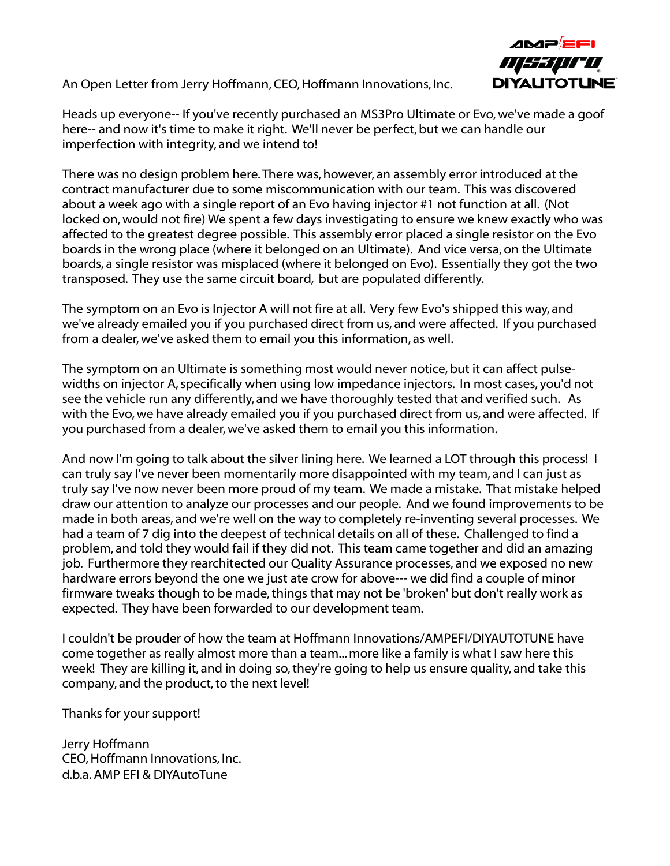# An Open Letter from Jerry Hoffmann, CEO, Hoffmann Innovations, Inc.



Heads up everyone-- If you've recently purchased an MS3Pro Ultimate or Evo, we've made a goof here-- and now it's time to make it right. We'll never be perfect, but we can handle our imperfection with integrity, and we intend to!

There was no design problem here. There was, however, an assembly error introduced at the contract manufacturer due to some miscommunication with our team. This was discovered about a week ago with a single report of an Evo having injector #1 not function at all. (Not locked on, would not fire) We spent a few days investigating to ensure we knew exactly who was affected to the greatest degree possible. This assembly error placed a single resistor on the Evo boards in the wrong place (where it belonged on an Ultimate). And vice versa, on the Ultimate boards, a single resistor was misplaced (where it belonged on Evo). Essentially they got the two transposed. They use the same circuit board, but are populated differently.

The symptom on an Evo is Injector A will not fire at all. Very few Evo's shipped this way, and we've already emailed you if you purchased direct from us, and were affected. If you purchased from a dealer, we've asked them to email you this information, as well.

The symptom on an Ultimate is something most would never notice, but it can affect pulsewidths on injector A, specifically when using low impedance injectors. In most cases, you'd not see the vehicle run any differently, and we have thoroughly tested that and verified such. As with the Evo, we have already emailed you if you purchased direct from us, and were affected. If you purchased from a dealer, we've asked them to email you this information.

And now I'm going to talk about the silver lining here. We learned a LOT through this process! I can truly say I've never been momentarily more disappointed with my team, and I can just as truly say I've now never been more proud of my team. We made a mistake. That mistake helped draw our attention to analyze our processes and our people. And we found improvements to be made in both areas, and we're well on the way to completely re-inventing several processes. We had a team of 7 dig into the deepest of technical details on all of these. Challenged to find a problem, and told they would fail if they did not. This team came together and did an amazing job. Furthermore they rearchitected our Quality Assurance processes, and we exposed no new hardware errors beyond the one we just ate crow for above--- we did find a couple of minor firmware tweaks though to be made, things that may not be 'broken' but don't really work as expected. They have been forwarded to our development team.

I couldn't be prouder of how the team at Hoffmann Innovations/AMPEFI/DIYAUTOTUNE have come together as really almost more than a team... more like a family is what I saw here this week! They are killing it, and in doing so, they're going to help us ensure quality, and take this company, and the product, to the next level!

Thanks for your support!

Jerry Hoffmann CEO, Hoffmann Innovations, Inc. d.b.a. AMP EFI & DIYAutoTune